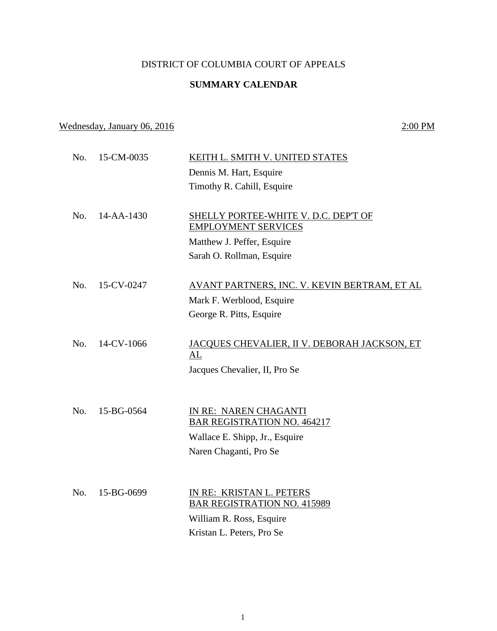## DISTRICT OF COLUMBIA COURT OF APPEALS

## **SUMMARY CALENDAR**

## Wednesday, January 06, 2016 2:00 PM

| No. | 15-CM-0035 | KEITH L. SMITH V. UNITED STATES                             |
|-----|------------|-------------------------------------------------------------|
|     |            | Dennis M. Hart, Esquire                                     |
|     |            | Timothy R. Cahill, Esquire                                  |
|     |            |                                                             |
| No. | 14-AA-1430 | SHELLY PORTEE-WHITE V. D.C. DEP'T OF                        |
|     |            | <b>EMPLOYMENT SERVICES</b>                                  |
|     |            | Matthew J. Peffer, Esquire                                  |
|     |            | Sarah O. Rollman, Esquire                                   |
|     |            |                                                             |
| No. | 15-CV-0247 | AVANT PARTNERS, INC. V. KEVIN BERTRAM, ET AL                |
|     |            | Mark F. Werblood, Esquire                                   |
|     |            | George R. Pitts, Esquire                                    |
|     |            |                                                             |
| No. | 14-CV-1066 | <u>JACQUES CHEVALIER, II V. DEBORAH JACKSON, ET</u>         |
|     |            | AL                                                          |
|     |            | Jacques Chevalier, II, Pro Se                               |
|     |            |                                                             |
|     |            |                                                             |
| No. | 15-BG-0564 | IN RE: NAREN CHAGANTI<br><b>BAR REGISTRATION NO. 464217</b> |
|     |            | Wallace E. Shipp, Jr., Esquire                              |
|     |            | Naren Chaganti, Pro Se                                      |
|     |            |                                                             |
|     |            |                                                             |
| No. | 15-BG-0699 | IN RE: KRISTAN L. PETERS                                    |
|     |            | <b>BAR REGISTRATION NO. 415989</b>                          |
|     |            | William R. Ross, Esquire                                    |
|     |            | Kristan L. Peters, Pro Se                                   |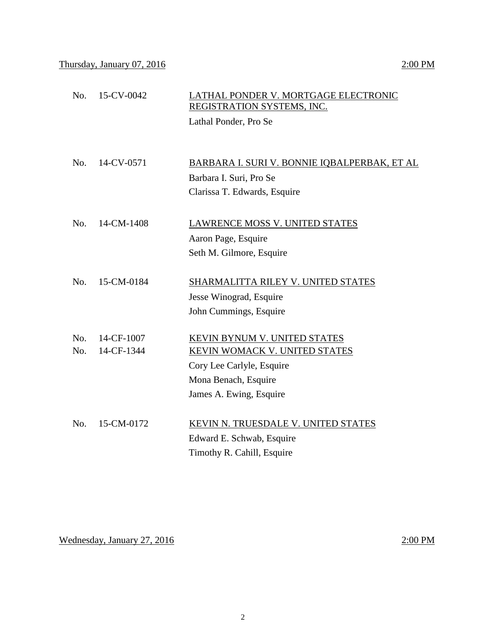| No. | 15-CV-0042 | LATHAL PONDER V. MORTGAGE ELECTRONIC<br>REGISTRATION SYSTEMS, INC. |
|-----|------------|--------------------------------------------------------------------|
|     |            | Lathal Ponder, Pro Se                                              |
|     |            |                                                                    |
|     |            |                                                                    |
| No. | 14-CV-0571 | BARBARA I. SURI V. BONNIE IQBALPERBAK, ET AL                       |
|     |            | Barbara I. Suri, Pro Se                                            |
|     |            | Clarissa T. Edwards, Esquire                                       |
|     |            |                                                                    |
| No. | 14-CM-1408 | <b>LAWRENCE MOSS V. UNITED STATES</b>                              |
|     |            | Aaron Page, Esquire                                                |
|     |            | Seth M. Gilmore, Esquire                                           |
|     |            |                                                                    |
| No. | 15-CM-0184 | SHARMALITTA RILEY V. UNITED STATES                                 |
|     |            | Jesse Winograd, Esquire                                            |
|     |            | John Cummings, Esquire                                             |
| No. | 14-CF-1007 | KEVIN BYNUM V. UNITED STATES                                       |
| No. | 14-CF-1344 | <b>KEVIN WOMACK V. UNITED STATES</b>                               |
|     |            | Cory Lee Carlyle, Esquire                                          |
|     |            | Mona Benach, Esquire                                               |
|     |            | James A. Ewing, Esquire                                            |
|     |            |                                                                    |
| No. | 15-CM-0172 | KEVIN N. TRUESDALE V. UNITED STATES                                |
|     |            | Edward E. Schwab, Esquire                                          |
|     |            | Timothy R. Cahill, Esquire                                         |

Wednesday, January 27, 2016 2:00 PM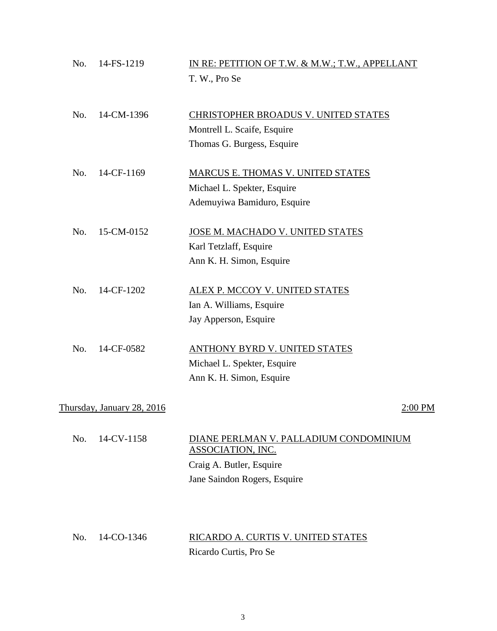| No. | 14-FS-1219                 | IN RE: PETITION OF T.W. & M.W.; T.W., APPELLANT<br>T. W., Pro Se                                                        |
|-----|----------------------------|-------------------------------------------------------------------------------------------------------------------------|
| No. | 14-CM-1396                 | CHRISTOPHER BROADUS V. UNITED STATES<br>Montrell L. Scaife, Esquire<br>Thomas G. Burgess, Esquire                       |
| No. | 14-CF-1169                 | MARCUS E. THOMAS V. UNITED STATES<br>Michael L. Spekter, Esquire<br>Ademuyiwa Bamiduro, Esquire                         |
| No. | 15-CM-0152                 | JOSE M. MACHADO V. UNITED STATES<br>Karl Tetzlaff, Esquire<br>Ann K. H. Simon, Esquire                                  |
| No. | 14-CF-1202                 | <b>ALEX P. MCCOY V. UNITED STATES</b><br>Ian A. Williams, Esquire<br>Jay Apperson, Esquire                              |
| No. | 14-CF-0582                 | <b>ANTHONY BYRD V. UNITED STATES</b><br>Michael L. Spekter, Esquire<br>Ann K. H. Simon, Esquire                         |
|     | Thursday, January 28, 2016 | $2:00$ PM                                                                                                               |
| No. | 14-CV-1158                 | DIANE PERLMAN V. PALLADIUM CONDOMINIUM<br>ASSOCIATION, INC.<br>Craig A. Butler, Esquire<br>Jane Saindon Rogers, Esquire |

No. 14-CO-1346 RICARDO A. CURTIS V. UNITED STATES Ricardo Curtis, Pro Se